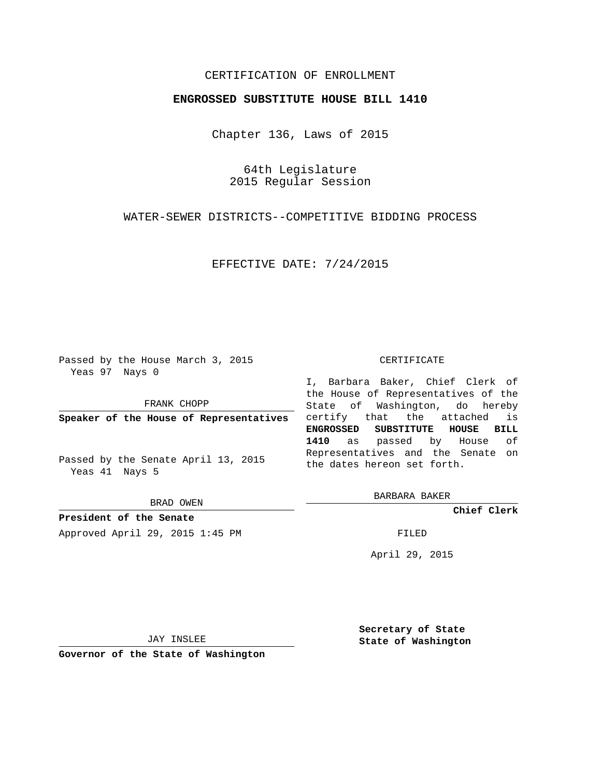## CERTIFICATION OF ENROLLMENT

## **ENGROSSED SUBSTITUTE HOUSE BILL 1410**

Chapter 136, Laws of 2015

64th Legislature 2015 Regular Session

WATER-SEWER DISTRICTS--COMPETITIVE BIDDING PROCESS

EFFECTIVE DATE: 7/24/2015

Passed by the House March 3, 2015 Yeas 97 Nays 0

FRANK CHOPP

**Speaker of the House of Representatives**

Passed by the Senate April 13, 2015 Yeas 41 Nays 5

BRAD OWEN

**President of the Senate** Approved April 29, 2015 1:45 PM FILED

## CERTIFICATE

I, Barbara Baker, Chief Clerk of the House of Representatives of the State of Washington, do hereby certify that the attached is **ENGROSSED SUBSTITUTE HOUSE BILL 1410** as passed by House of Representatives and the Senate on the dates hereon set forth.

BARBARA BAKER

**Chief Clerk**

April 29, 2015

JAY INSLEE

**Governor of the State of Washington**

**Secretary of State State of Washington**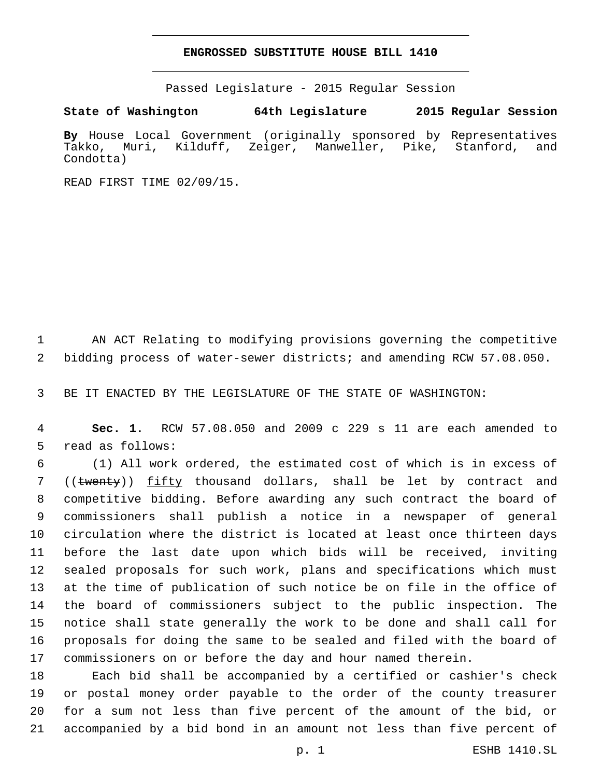## **ENGROSSED SUBSTITUTE HOUSE BILL 1410**

Passed Legislature - 2015 Regular Session

**State of Washington 64th Legislature 2015 Regular Session**

**By** House Local Government (originally sponsored by Representatives Takko, Muri, Kilduff, Zeiger, Manweller, Pike, Stanford, and Condotta)

READ FIRST TIME 02/09/15.

 AN ACT Relating to modifying provisions governing the competitive bidding process of water-sewer districts; and amending RCW 57.08.050.

BE IT ENACTED BY THE LEGISLATURE OF THE STATE OF WASHINGTON:

 **Sec. 1.** RCW 57.08.050 and 2009 c 229 s 11 are each amended to 5 read as follows:

 (1) All work ordered, the estimated cost of which is in excess of 7 ((twenty)) fifty thousand dollars, shall be let by contract and competitive bidding. Before awarding any such contract the board of commissioners shall publish a notice in a newspaper of general circulation where the district is located at least once thirteen days before the last date upon which bids will be received, inviting sealed proposals for such work, plans and specifications which must at the time of publication of such notice be on file in the office of the board of commissioners subject to the public inspection. The notice shall state generally the work to be done and shall call for proposals for doing the same to be sealed and filed with the board of commissioners on or before the day and hour named therein.

 Each bid shall be accompanied by a certified or cashier's check or postal money order payable to the order of the county treasurer for a sum not less than five percent of the amount of the bid, or accompanied by a bid bond in an amount not less than five percent of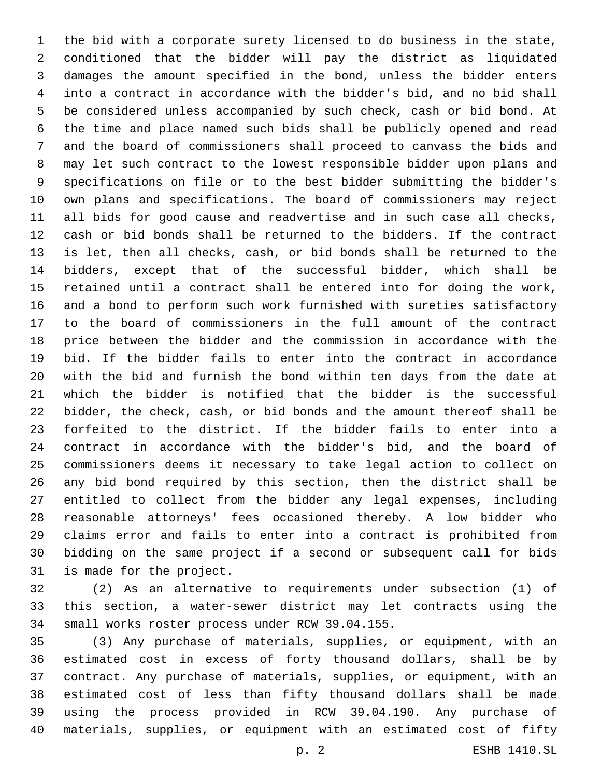the bid with a corporate surety licensed to do business in the state, conditioned that the bidder will pay the district as liquidated damages the amount specified in the bond, unless the bidder enters into a contract in accordance with the bidder's bid, and no bid shall be considered unless accompanied by such check, cash or bid bond. At the time and place named such bids shall be publicly opened and read and the board of commissioners shall proceed to canvass the bids and may let such contract to the lowest responsible bidder upon plans and specifications on file or to the best bidder submitting the bidder's own plans and specifications. The board of commissioners may reject all bids for good cause and readvertise and in such case all checks, cash or bid bonds shall be returned to the bidders. If the contract is let, then all checks, cash, or bid bonds shall be returned to the bidders, except that of the successful bidder, which shall be retained until a contract shall be entered into for doing the work, and a bond to perform such work furnished with sureties satisfactory to the board of commissioners in the full amount of the contract price between the bidder and the commission in accordance with the bid. If the bidder fails to enter into the contract in accordance with the bid and furnish the bond within ten days from the date at which the bidder is notified that the bidder is the successful bidder, the check, cash, or bid bonds and the amount thereof shall be forfeited to the district. If the bidder fails to enter into a contract in accordance with the bidder's bid, and the board of commissioners deems it necessary to take legal action to collect on any bid bond required by this section, then the district shall be entitled to collect from the bidder any legal expenses, including reasonable attorneys' fees occasioned thereby. A low bidder who claims error and fails to enter into a contract is prohibited from bidding on the same project if a second or subsequent call for bids 31 is made for the project.

 (2) As an alternative to requirements under subsection (1) of this section, a water-sewer district may let contracts using the 34 small works roster process under RCW 39.04.155.

 (3) Any purchase of materials, supplies, or equipment, with an estimated cost in excess of forty thousand dollars, shall be by contract. Any purchase of materials, supplies, or equipment, with an estimated cost of less than fifty thousand dollars shall be made using the process provided in RCW 39.04.190. Any purchase of materials, supplies, or equipment with an estimated cost of fifty